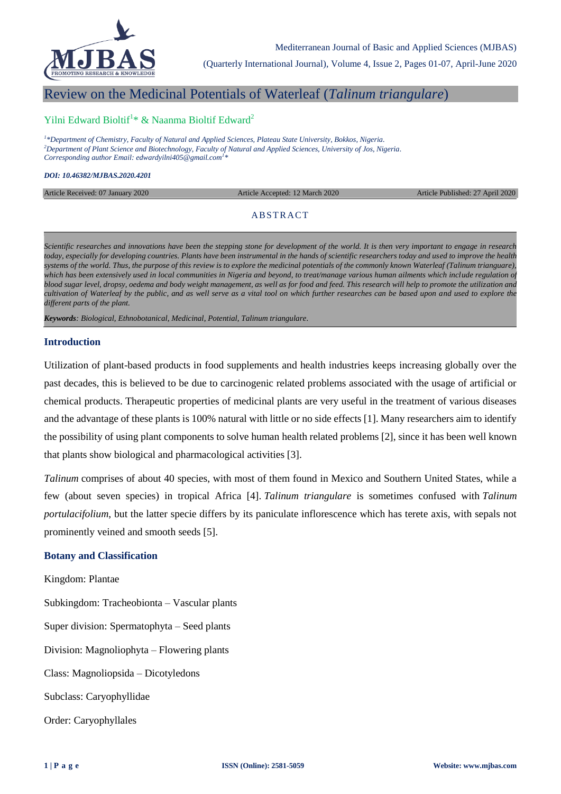

(Quarterly International Journal), Volume 4, Issue 2, Pages 01-07, April-June 2020

# Review on the Medicinal Potentials of Waterleaf (*Talinum triangulare*)

## Yilni Edward Bioltif<sup>1</sup>\* & Naanma Bioltif Edward<sup>2</sup>

*1 \*Department of Chemistry, Faculty of Natural and Applied Sciences, Plateau State University, Bokkos, Nigeria. <sup>2</sup>Department of Plant Science and Biotechnology, Faculty of Natural and Applied Sciences, University of Jos, Nigeria. Corresponding author Email: edwardyilni405@gmail.com<sup>1</sup> \**

#### *DOI: 10.46382/MJBAS.2020.4201*

Article Received: 07 January 2020 Article Accepted: 12 March 2020 Article Published: 27 April 2020

### **ABSTRACT**

*Scientific researches and innovations have been the stepping stone for development of the world. It is then very important to engage in research today, especially for developing countries. Plants have been instrumental in the hands of scientific researchers today and used to improve the health systems of the world. Thus, the purpose of this review is to explore the medicinal potentials of the commonly known Waterleaf (Talinum trianguare), which has been extensively used in local communities in Nigeria and beyond, to treat/manage various human ailments which include regulation of blood sugar level, dropsy, oedema and body weight management, as well as for food and feed. This research will help to promote the utilization and cultivation of Waterleaf by the public, and as well serve as a vital tool on which further researches can be based upon and used to explore the different parts of the plant.*

*Keywords: Biological, Ethnobotanical, Medicinal, Potential, Talinum triangulare.*

#### **Introduction**

Utilization of plant-based products in food supplements and health industries keeps increasing globally over the past decades, this is believed to be due to carcinogenic related problems associated with the usage of artificial or chemical products. Therapeutic properties of medicinal plants are very useful in the treatment of various diseases and the advantage of these plants is 100% natural with little or no side effects [1]. Many researchers aim to identify the possibility of using plant components to solve human health related problems [2], since it has been well known that plants show biological and pharmacological activities [3].

*Talinum* comprises of about 40 species, with most of them found in Mexico and Southern United States, while a few (about seven species) in tropical Africa [4]. *Talinum triangulare* is sometimes confused with *Talinum portulacifolium*, but the latter specie differs by its paniculate inflorescence which has terete axis, with sepals not prominently veined and smooth seeds [5].

### **Botany and Classification**

Kingdom: Plantae Subkingdom: [Tracheobionta](https://plants.usda.gov/java/ClassificationServlet?source=display&classid=Tracheobionta) – Vascular plants Super division: [Spermatophyta](https://plants.usda.gov/java/ClassificationServlet?source=display&classid=Spermatophyta) – Seed plants Division: [Magnoliophyta](https://plants.usda.gov/java/ClassificationServlet?source=display&classid=Magnoliophyta) – Flowering plants Class: [Magnoliopsida](https://plants.usda.gov/java/ClassificationServlet?source=display&classid=Magnoliopsida) – Dicotyledons Subclass: [Caryophyllidae](https://plants.usda.gov/java/ClassificationServlet?source=display&classid=Caryophyllidae) Order: [Caryophyllales](https://plants.usda.gov/java/ClassificationServlet?source=display&classid=Caryophyllales)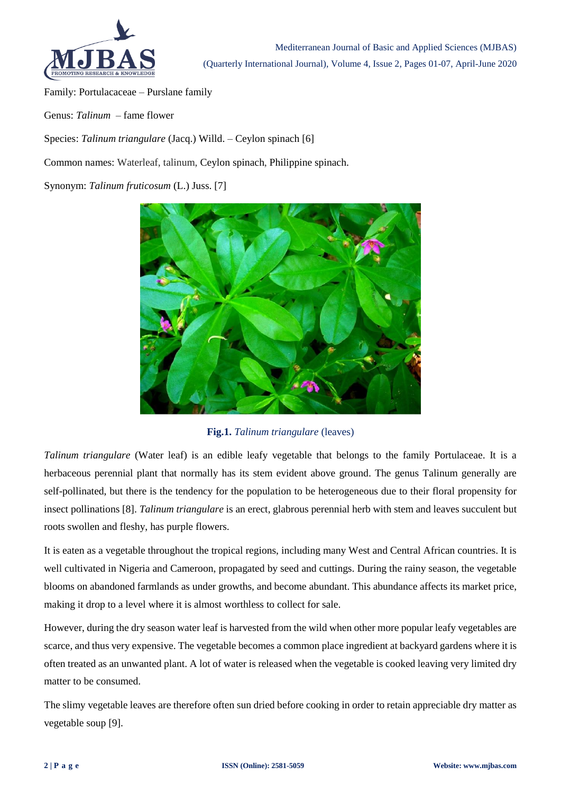

Family: [Portulacaceae](https://plants.usda.gov/java/ClassificationServlet?source=display&classid=Portulacaceae) – Purslane family

Genus: *[Talinum](https://plants.usda.gov/java/ClassificationServlet?source=display&classid=TALIN2)* – fame flower

Species: *Talinum triangulare* [\(Jacq.\) Willd.](https://plants.usda.gov/java/ClassificationServlet?source=display&classid=TATR2) – Ceylon spinach [6]

Common names: Waterleaf, talinum, Ceylon spinach, Philippine spinach.

Synonym: *[Talinum fruticosum](https://www.itis.gov/servlet/SingleRpt/SingleRpt?search_topic=TSN&search_value=508008)* (L.) Juss. [7]



# **Fig.1.** *Talinum triangulare* (leaves)

*Talinum triangulare* (Water leaf) is an edible leafy vegetable that belongs to the family Portulaceae. It is a herbaceous perennial plant that normally has its stem evident above ground. The genus Talinum generally are self-pollinated, but there is the tendency for the population to be heterogeneous due to their floral propensity for insect pollinations [8]. *Talinum triangulare* is an erect, glabrous perennial herb with stem and leaves succulent but roots swollen and fleshy, has purple flowers.

It is eaten as a vegetable throughout the tropical regions, including many West and Central African countries. It is well cultivated in Nigeria and Cameroon, propagated by seed and cuttings. During the rainy season, the vegetable blooms on abandoned farmlands as under growths, and become abundant. This abundance affects its market price, making it drop to a level where it is almost worthless to collect for sale.

However, during the dry season water leaf is harvested from the wild when other more popular leafy vegetables are scarce, and thus very expensive. The vegetable becomes a common place ingredient at backyard gardens where it is often treated as an unwanted plant. A lot of water is released when the vegetable is cooked leaving very limited dry matter to be consumed.

The slimy vegetable leaves are therefore often sun dried before cooking in order to retain appreciable dry matter as vegetable soup [9].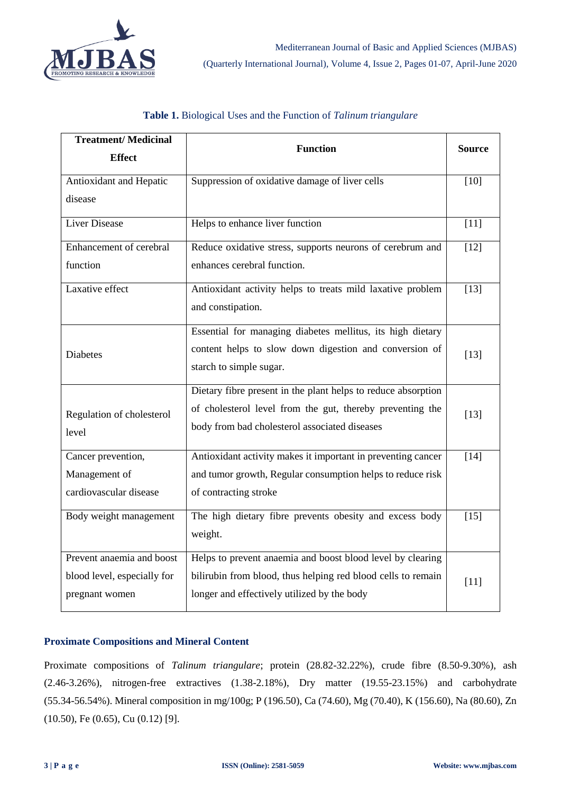

| <b>Treatment/Medicinal</b>  | <b>Function</b>                                               | <b>Source</b> |
|-----------------------------|---------------------------------------------------------------|---------------|
| <b>Effect</b>               |                                                               |               |
| Antioxidant and Hepatic     | Suppression of oxidative damage of liver cells                | [10]          |
| disease                     |                                                               |               |
| Liver Disease               | Helps to enhance liver function                               | $[11]$        |
| Enhancement of cerebral     | Reduce oxidative stress, supports neurons of cerebrum and     | $[12]$        |
| function                    | enhances cerebral function.                                   |               |
| Laxative effect             | Antioxidant activity helps to treats mild laxative problem    | $[13]$        |
|                             | and constipation.                                             |               |
|                             | Essential for managing diabetes mellitus, its high dietary    |               |
| <b>Diabetes</b>             | content helps to slow down digestion and conversion of        | $[13]$        |
|                             | starch to simple sugar.                                       |               |
|                             | Dietary fibre present in the plant helps to reduce absorption |               |
| Regulation of cholesterol   | of cholesterol level from the gut, thereby preventing the     | $[13]$        |
| level                       | body from bad cholesterol associated diseases                 |               |
| Cancer prevention,          | Antioxidant activity makes it important in preventing cancer  | $[14]$        |
| Management of               | and tumor growth, Regular consumption helps to reduce risk    |               |
| cardiovascular disease      | of contracting stroke                                         |               |
| Body weight management      | The high dietary fibre prevents obesity and excess body       | $[15]$        |
|                             | weight.                                                       |               |
| Prevent anaemia and boost   | Helps to prevent anaemia and boost blood level by clearing    |               |
| blood level, especially for | bilirubin from blood, thus helping red blood cells to remain  | $[11]$        |
| pregnant women              | longer and effectively utilized by the body                   |               |

# **Table 1.** Biological Uses and the Function of *Talinum triangulare*

# **Proximate Compositions and Mineral Content**

Proximate compositions of *Talinum triangulare*; protein (28.82-32.22%), crude fibre (8.50-9.30%), ash (2.46-3.26%), nitrogen-free extractives (1.38-2.18%), Dry matter (19.55-23.15%) and carbohydrate (55.34-56.54%). Mineral composition in mg/100g; P (196.50), Ca (74.60), Mg (70.40), K (156.60), Na (80.60), Zn (10.50), Fe (0.65), Cu (0.12) [9].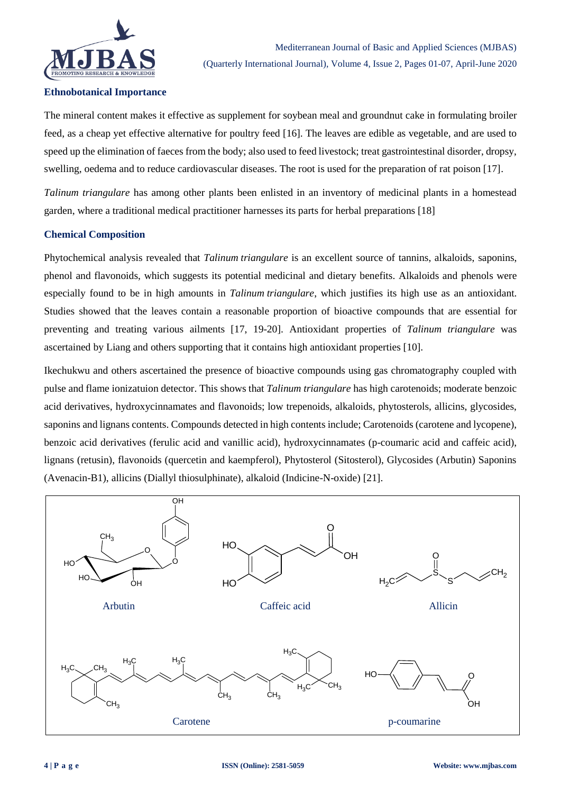

#### **Ethnobotanical Importance**

The mineral content makes it effective as supplement for soybean meal and groundnut cake in formulating broiler feed, as a cheap yet effective alternative for poultry feed [16]. The leaves are edible as vegetable, and are used to speed up the elimination of faeces from the body; also used to feed livestock; treat gastrointestinal disorder, dropsy, swelling, oedema and to reduce cardiovascular diseases. The root is used for the preparation of rat poison [17].

*Talinum triangulare* has among other plants been enlisted in an inventory of medicinal plants in a homestead garden, where a traditional medical practitioner harnesses its parts for herbal preparations [18]

#### **Chemical Composition**

Phytochemical analysis revealed that *Talinum triangulare* is an excellent source of tannins, alkaloids, saponins, phenol and flavonoids, which suggests its potential medicinal and dietary benefits. Alkaloids and phenols were especially found to be in high amounts in *Talinum triangulare*, which justifies its high use as an antioxidant. Studies showed that the leaves contain a reasonable proportion of bioactive compounds that are essential for preventing and treating various ailments [17, 19-20]. Antioxidant properties of *Talinum triangulare* was ascertained by Liang and others supporting that it contains high antioxidant properties [10].

Ikechukwu and others ascertained the presence of bioactive compounds using gas chromatography coupled with pulse and flame ionizatuion detector. This shows that *Talinum triangulare* has high carotenoids; moderate benzoic acid derivatives, hydroxycinnamates and flavonoids; low trepenoids, alkaloids, phytosterols, allicins, glycosides, saponins and lignans contents. Compounds detected in high contents include; Carotenoids (carotene and lycopene), benzoic acid derivatives (ferulic acid and vanillic acid), hydroxycinnamates (p-coumaric acid and caffeic acid), lignans (retusin), flavonoids (quercetin and kaempferol), Phytosterol (Sitosterol), Glycosides (Arbutin) Saponins (Avenacin-B1), allicins (Diallyl thiosulphinate), alkaloid (Indicine-N-oxide) [21].

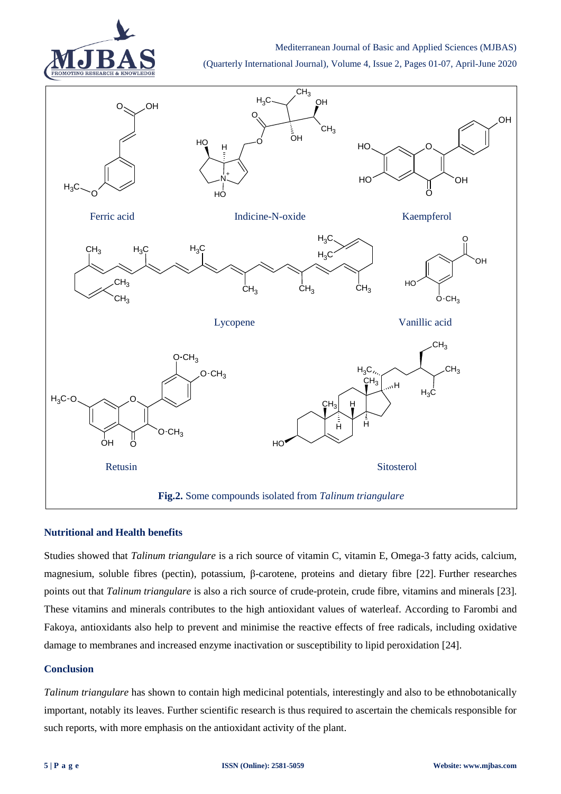

Mediterranean Journal of Basic and Applied Sciences (MJBAS)

(Quarterly International Journal), Volume 4, Issue 2, Pages 01-07, April-June 2020



### **Nutritional and Health benefits**

Studies showed that *Talinum triangulare* is a rich source of vitamin C, vitamin E, Omega-3 fatty acids, calcium, magnesium, soluble fibres (pectin), potassium, β-carotene, proteins and dietary fibre [22]. Further researches points out that *Talinum triangulare* is also a rich source of crude-protein, crude fibre, vitamins and minerals [23]. These vitamins and minerals contributes to the high antioxidant values of waterleaf. According to Farombi and Fakoya, antioxidants also help to prevent and minimise the reactive effects of free radicals, including oxidative damage to membranes and increased enzyme inactivation or susceptibility to lipid peroxidation [24].

#### **Conclusion**

*Talinum triangulare* has shown to contain high medicinal potentials, interestingly and also to be ethnobotanically important, notably its leaves. Further scientific research is thus required to ascertain the chemicals responsible for such reports, with more emphasis on the antioxidant activity of the plant.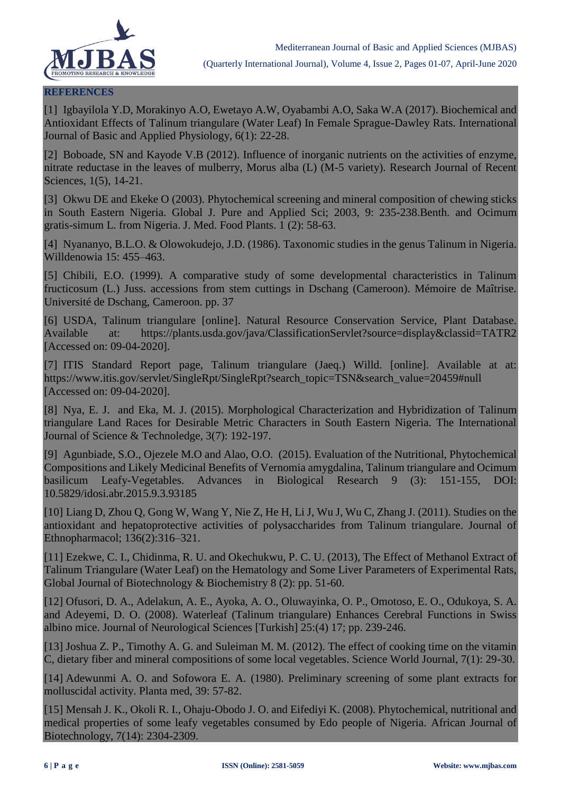

### **REFERENCES**

[1] Igbayilola Y.D, Morakinyo A.O, Ewetayo A.W, Oyabambi A.O, Saka W.A (2017). Biochemical and Antioxidant Effects of Talinum triangulare (Water Leaf) In Female Sprague-Dawley Rats. International Journal of Basic and Applied Physiology, 6(1): 22-28.

[2] Boboade, SN and Kayode V.B (2012). Influence of inorganic nutrients on the activities of enzyme, nitrate reductase in the leaves of mulberry, Morus alba (L) (M-5 variety). Research Journal of Recent Sciences, 1(5), 14-21.

[3] Okwu DE and Ekeke O (2003). Phytochemical screening and mineral composition of chewing sticks in South Eastern Nigeria. Global J. Pure and Applied Sci; 2003, 9: 235-238.Benth. and Ocimum gratis-simum L. from Nigeria. J. Med. Food Plants. 1 (2): 58-63.

[4] Nyananyo, B.L.O. & Olowokudejo, J.D. (1986). Taxonomic studies in the genus Talinum in Nigeria. Willdenowia 15: 455–463.

[5] Chibili, E.O. (1999). A comparative study of some developmental characteristics in Talinum fructicosum (L.) Juss. accessions from stem cuttings in Dschang (Cameroon). Mémoire de Maîtrise. Université de Dschang, Cameroon. pp. 37

[6] USDA, Talinum triangulare [online]. Natural Resource Conservation Service, Plant Database. Available at: https://plants.usda.gov/java/ClassificationServlet?source=display&classid=TATR2 [Accessed on: 09-04-2020].

[7] ITIS Standard Report page, Talinum triangulare (Jaeq.) Willd. [online]. Available at at: https://www.itis.gov/servlet/SingleRpt/SingleRpt?search\_topic=TSN&search\_value=20459#null [Accessed on: 09-04-2020].

[8] Nya, E. J. and Eka, M. J. (2015). Morphological Characterization and Hybridization of Talinum triangulare Land Races for Desirable Metric Characters in South Eastern Nigeria. The International Journal of Science & Technoledge, 3(7): 192-197.

[9] Agunbiade, S.O., Ojezele M.O and Alao, O.O. (2015). Evaluation of the Nutritional, Phytochemical Compositions and Likely Medicinal Benefits of Vernomia amygdalina, Talinum triangulare and Ocimum basilicum Leafy-Vegetables. Advances in Biological Research 9 (3): 151-155, DOI: 10.5829/idosi.abr.2015.9.3.93185

[10] Liang D, Zhou Q, Gong W, Wang Y, Nie Z, He H, Li J, Wu J, Wu C, Zhang J. (2011). Studies on the antioxidant and hepatoprotective activities of polysaccharides from Talinum triangulare. Journal of Ethnopharmacol; 136(2):316–321.

[11] Ezekwe, C. I., Chidinma, R. U. and Okechukwu, P. C. U. (2013), The Effect of Methanol Extract of Talinum Triangulare (Water Leaf) on the Hematology and Some Liver Parameters of Experimental Rats, Global Journal of Biotechnology & Biochemistry 8 (2): pp. 51-60.

[12] Ofusori, D. A., Adelakun, A. E., Ayoka, A. O., Oluwayinka, O. P., Omotoso, E. O., Odukoya, S. A. and Adeyemi, D. O. (2008). Waterleaf (Talinum triangulare) Enhances Cerebral Functions in Swiss albino mice. Journal of Neurological Sciences [Turkish] 25:(4) 17; pp. 239-246.

[13] Joshua Z. P., Timothy A. G. and Suleiman M. M. (2012). The effect of cooking time on the vitamin C, dietary fiber and mineral compositions of some local vegetables. Science World Journal, 7(1): 29-30.

[14] Adewunmi A. O. and Sofowora E. A. (1980). Preliminary screening of some plant extracts for molluscidal activity. Planta med, 39: 57-82.

[15] Mensah J. K., Okoli R. I., Ohaju-Obodo J. O. and Eifediyi K. (2008). Phytochemical, nutritional and medical properties of some leafy vegetables consumed by Edo people of Nigeria. African Journal of Biotechnology, 7(14): 2304-2309.